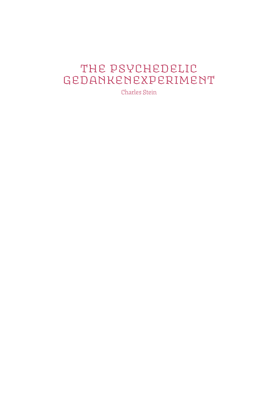# The Psychedelic Gedankenexperiment

Charles Stein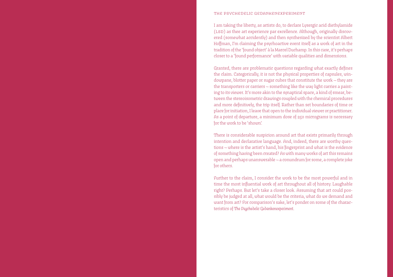#### the psychedelic gedankenexperiment

I am taking the liberty, as artists do, to declare Lysergic acid diethylamide (LSD) as thee art experience par excellence. Although, originally discovered (somewhat accidently) and then synthesized by the scientist Albert Hoffman, I'm claiming the psychoactive event itself as a work of art in the tradition of the 'found object' à la Marcel Duchamp. In this case, it's perhaps closer to a 'found performance' with variable qualities and dimensions.

Granted, there are problematic questions regarding what exactly defines the claim. Categorically, it is not the physical properties of capsules, windowpane, blotter paper or sugar cubes that constitute the work — they are the transporters or carriers — something like the way light carries a painting to its viewer. It's more akin to the synaptical space, a kind of smear, between the stereoisometric drawings coupled with the chemical procedures and more definitively, the trip itself. Rather than set boundaries of time or place for initiation, I leave that open to the individual viewer or practitioner. As a point of departure, a minimum dose of 250 micrograms is necessary for the work to be 'shown'.

There is considerable suspicion around art that exists primarily through intention and declarative language. And, indeed, there are worthy questions — where is the artist's hand, his fingerprint and what is the evidence of something having been created? As with many works of art this remains open and perhaps unanswerable — a conundrum for some, a complete joke for others.

Further to the claim, I consider the work to be the most powerful and in time the most influential work of art throughout all of history. Laughable right? Perhaps. But let's take a closer look. Assuming that art could possibly be judged at all, what would be the criteria, what do we demand and want from art? For comparison's sake, let's ponder on some of the characteristics of *The Psychedelic Gedankenexperiment*.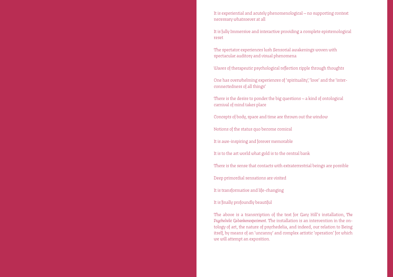It is experiential and acutely phenomenological — no supporting context necessary whatsoever at all

It is fully Immersive and interactive providing a complete epistemological reset

The spectator experiences lush Sensorial awakenings woven with spectacular auditory and visual phenomena

Waves of therapeutic psychological reflection ripple through thoughts

One has overwhelming experiences of 'spirituality', 'love' and the 'interconnectedness of all things'

There is the desire to ponder the big questions — a kind of ontological carnival of mind takes place

Concepts of body, space and time are thrown out the window

Notions of the status quo become comical

It is awe-inspiring and forever memorable

It is to the art world what gold is to the central bank

There is the sense that contacts with extraterrestrial beings are possible

Deep primordial sensations are visited

It is transformative and life-changing

It is finally profoundly beautiful

The above is a transcription of the text for Gary Hill's installation, *The Psychedelic Gedankenexperiment*. The installation is an intervention in the ontology of art, the nature of psychedelia, and indeed, our relation to Being itself, by means of an 'uncanny' and complex artistic 'operation' for which we will attempt an exposition.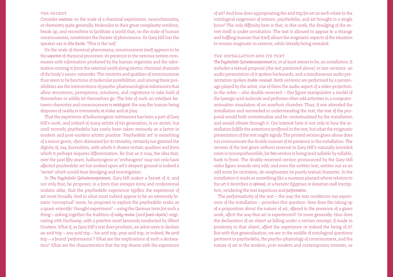## the secret

Consider *existence* on the scale of a chemical experiment, neurochemistry, or chemistry quite generally. Molecules in their great complexity combine, break up, and recombine to facilitate a world that, on the scale of human consciousness, constitutes the theater of phenomena. As Gary Hill has the speaker say in *Site Recite*: 'This is the turf.'

On the scale of chemical phenomena, consciousness itself appears to be the *supertext* of chemical processes: its presence in the nervous system communes with information produced by the human organism and the information coming in from the external world along electro-chemical channels of the body's neuro-networks. The contents and qualities of consciousness thus seem to be functions of molecular possibilities, and among these possibilities are the interventions of psycho-pharmacological substances that allow sensations, perceptions, intuitions, and cognitions to take hold of themselves or wildly let themselves go. The bite of such an interface between chemistry and consciousness is *ontological*: the way the human being disposes of reality is intensively at stake and at play.

That the experience of hallucinogenic substances has been a part of Gary Hill's work, and indeed of many artists of his generation, is no secret, but until recently psychedelia has rarely been taken seriously as a factor in modern and post-modern artistic practice. 'Psychedelic art' is something of a minor genre, often dismissed for its triviality, certainly not granted the dignity of, say, Surrealism, with which it shares certain qualities and from which it perhaps requires differentiation. Be that as it may, the idea that, over the past fifty years, hallucinogens or 'entheogens' may not only have affected psychedelic art but worked upon art's deepest ground is indeed a 'secret' which would bear divulging and investigation.

In *The Psychedelic Gedankenexperiment*, Gary Hill makes a breast of it, and not only that; he proposes, in a form that escapes irony and confessional realism alike, that the psychedelic experience typifies the experience of art most broadly. And in what must indeed appear to be an extremely bizarre 'conceptual' move, he proposes to explore the psychedelic realm as a quasi-scientific 'thought experiment' — using the German term for such a thing — yoking together the tradition of *ready-mades* (and *found objects*) originating with Duchamp, with a practice most famously conducted by Albert Einstein. What if, as Gary Hill's text does proclaim, an artist were to declare an acid trip — any acid trip — his acid trip, your acid trip, or indeed, *the* acid trip — a found 'performance'? What are the implications of such a declaration? What are the characteristics that the trip shares with the experience of art? And how does appropriating the acid trip for art as such relate to the ontological exigencies of science, psychedelia, and art brought to a single focus? The only difficulty here is that, in this work, the divulging of the secret itself is under occultation. The text is allowed to appear in a strange and baffling manner that itself allows the enigmatic aspects of the situation to remain enigmatic in essence, while literally being revealed.

# the installation and its text

*The Psychedelic Gedankenexperiment* is, or at least seems to be, an installation. It includes a textual proposal (the text presented above) in two versions: an audio presentation of it spoken backwards, and a simultaneous audio presentation spoken *double-reversed*. Both versions are performed by a personage played by the artist, one of them the audio aspect of a video projection. In the video — also double-reversed — this figure manipulates a model of the lysergic acid molecule and performs other odd activities in a computeranimation simulation of an anechoic chamber. Thus, if one attended the installation and succeeded in understanding the text, the text of the proposal would both contextualize and be contextualized by the installation and would vibrate through it. Our interest here is not only in how the installation fulfills the assertions proffered in the text, but what the enigmatic presentation of the text might signify. The printed version given above does not communicate the double manner of its presence in the installation. The version of the text given without reversal in Gary Hill's naturally recorded voice is incomprehensible, for that version is being read syllable by syllable, back to front. The doubly-reversed version pronounced by the Gary Hill video figure sounds very odd; and even the written text, written out as an odd score for recitation, de-emphasizes its purely textual character. In the installation it reads as something like a museum placard whose relation to the art it describes is *optional*, or a hieratic Egyptian or Assyrian wall inscription, rendering the text imperious and *performative*.

The performativity of the text — the way the text conditions our experience of the installation — provokes this question: How does the taking up of a proposition about the nature of art, offered in the presence of a given work, affect the way that art is experienced? Or more generally: How does the declaration of an object as falling under a certain concept, if made in proximity to that object, affect the experience or indeed the being of it? But with that generalization, we are in the middle of ontological questions pertinent to psychedelia, the psycho-physiology of consciousness, and the nature of art in the modern, post-modern and contemporary contexts, as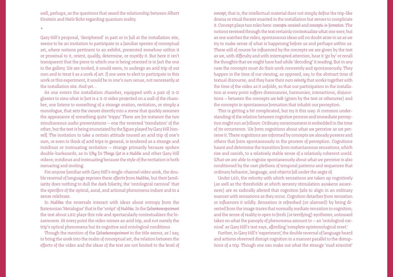well, perhaps, as the questions that vexed the relationship between Albert Einstein and Niels Bohr regarding quantum reality.

\*

Gary Hill's proposal, 'deciphered' in part or in full at the installation site, seems to be an invitation to participate in a familiar species of conceptual art, where notions pertinent to an exhibit, presented somehow within it or proximal to it, orient, qualify, determine, or mystify it. But here it isn't transparent that the piece to which one is being oriented is in fact the one in the gallery. We are invited, it would seem, to undergo an acid trip of our own and to treat *it* as a work of art. If one were to elect to participate in this work or this experiment, it would be in one's own venue, not necessarily at the installation site. And yet…

As one enters the installation chamber, equipped with a pair of 3-D glasses to view what in fact is a 3-D video projected on a wall of the chamber, one listens to something of a strange oration, recitation, or simply a monologue, that sets the viewer directly into a scene that quickly assumes the appearance of something quite 'trippy.' There are for instance the two simultaneous audio presentations — one the reversed 'translation' of the other; but the text is being enunciated by the figure played by Gary Hill himself. The invitation to take a certain attitude toward an acid trip of one's own, or even to think of acid trips in general, is tendered as a strange and insidious or insinuating recitation — strange primarily because spoken double-backwards, as in *Why Do Things Get in a Muddle* and other Gary Hill videos; insidious and insinuating because the style of the recitation is both menacing and inviting.

For anyone familiar with Gary Hill's single-channel video work, the double reversal of language reprises these affects from *Muddles*; but their familiarity does nothing to dull the dark hilarity, the 'ontological carnival' that the specifics of the optical, aural, and actional phenomena induce and in a sense celebrate.

In *Muddles* the reversals interact with ideas about entropy from the Batesonian 'Metalogue' that is the 'script' of *Muddles*. In the *Gedankenexperiment* the text about LSD plays this role and spectacularly contextualizes the bizarreness. At every point the video mimes an acid trip, and not merely the trip's optical phenomena but its cognitive and ontological conditions.

Though the mention of the *Gedankenexperiment* in the title seems, as I say, to bring the work into the realm of conceptual art, the relation between the effects of the video and the ideas of the text are not limited to the level of *concept*; that is, the intellectual material does not simply define the trip-like drama or ritual theater enacted in the installation but serves to complicate it. Concept plays two roles here: *concepts-received* and *concepts-in-formation*. The notions received through the text certainly contextualize what one sees; but as one watches the video, spontaneous ideas will no doubt arise in us as we try to make sense of what is happening before us and perhaps within us. These will of course be influenced by the concepts we are given by the text as we, with difficulty and with interrupted attention, hear it 'go by' or recall the thoughts that we might have had while 'decoding' it reading. But in any case the concepts must do their work concretely and spontaneously. They happen in the time of our viewing, as opposed, say, to the abstract time of textual discourse; and they have their own *velocity* that works together with the time of the video as it unfolds, so that our participation in the installation at every point suffers dissonances, harmonies, interactions, disjunctions — between the concepts we *hold* (given by the text or otherwise) and the concepts in spontaneous formation that inhabit our perception.

This is getting a bit complicated, but try it this way: A common understanding of the relation between cognitive process and immediate perception might run as follows: Ordinary consciousness is embedded in the time of its occurrence. We form cognitions about what we perceive as we perceive it. These cognitions are informed by concepts we already possess and others that form spontaneously in the process of perception. Cognitions haunt and determine the transition from instantaneous sensations, which rise and vanish, to a relatively stable sense of a relatively coherent world. What we are able to cognize spontaneously about what we perceive is also conditioned by the vast plethora of temporal patterns and sequences that ordinary behavior, language, and objects fall under the aegis of.

Under LSD, the velocity with which sensations are taken up cognitively (as well as the thresholds at which sensory stimulation awakens awareness) are so radically altered that cognition fails to align in an ordinary manner with sensations as they occur. Cognition detaches from sensation or influences it wildly. Sensation is refreshed (or alarmed) by being diverted from the image traces that normally mediate sensation to cognition; and the sense of reality is open to fresh (or terrifying) syntheses, untoward takes on what the panoply of phenomena amount to — an 'ontological carnival' as Gary Hill's text says, affording 'complete epistemological reset.'

Further, in Gary Hill's 'experiment,' the double reversal of language heard and actions observed disrupt cognition in a manner parallel to the disruptions of a trip. Though one can make out what the strange 'mad scientist'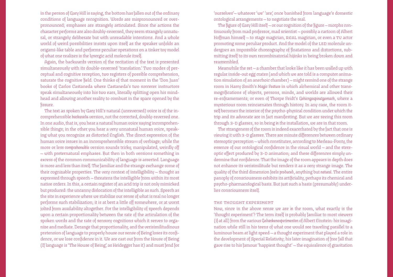in the person of Gary Hill is saying, the bottom has fallen out of the ordinary conditions of language recognition. Words are mispronounced or overpronounced; emphases are strangely articulated. Since the actions the character performs are also doubly-reversed, they seem strangely unnatural, or strangely deliberate but with unreadable intentions. And a whole world of weird possibilities insists upon itself as the speaker unfolds an origami-like table and performs peculiar operations on a tinker toy model of what one realizes is the lysergic acid molecule itself.

Again, the backwards version of the recitation of the text is presented simultaneously with its double-reversed 'translation.' Two modes of perceptual and cognitive reception, two registers of possible comprehension, saturate the cognitive field. One thinks of that moment in the 'Don Juan' books of Carlos Castaneda where Castaneda's two sorcerer instructors speak simultaneously into his two ears, literally splitting open his mindhead and allowing another reality to combust in the space opened by the fissure.

The text as spoken by Gary Hill's natural (unreversed) voice is of the incomprehensible *backwards* version, not the corrected, doubly-reversed one. In one audio, that is, you hear a natural human voice saying incomprehensible things; in the other you hear a very unnatural human voice, speaking what you recognize as distorted English. The direct expression of the human voice issues in an incomprehensible stream of verbiage; while the more or less *comprehensible* version sounds tricky, manipulated, weirdly off — with preternatural emphases. But then in both versions something in excess of the common communicability of language is asserted. Language is more and less than itself. The familiar and the strange exchange some of their cognizable properties. The very context of intelligibility — thought as expressed through speech — threatens the intelligible from within its most native orders. In this, a certain register of an acid trip is not only mimicked but produced: the uncanny dislocation of the intelligible as such. Speech as the site in experience where we stabilize our sense of what is real no longer performs such stabilization; it is at best a little off somewhere, or at worst jolted from availability altogether. For the intelligibility of speech depends upon a certain proportionality between the rate of the articulation of the spoken words and the rate of sensory cognitions which it serves to organize and mediate. Derange that proportionality, and the verisimilitudinous pretension of language to properly house our sense of Being loses its confidence, or we lose confidence in it. We are cast out from the House of Being (If language is 'The House of Being,' as Heidegger has it) and must fend for

'ourselves'— whatever 'we' 'are,' once banished from language's domestic ontological arrangements — to negotiate the real.

The figure of Gary Hill itself — or our cognition of the figure — morphs continuously from mad professor, mad scientist — possibly a cartoon of Albert Hoffman himself — to stage magician, REAL magician, or even a TV actor promoting some peculiar product. And the model of the LSD molecule undergoes an impossible choreography of floatations and distortions, submitting itself to its own recombinatorial hijinks in being broken down and reassembled.

Meanwhile the set — a chamber that looks like it has been walled up with regular inside-out egg crates (and which we are told is a computer animation simulation of an anechoic chamber) — might remind one of the strange room in Harry Smith's *Magic Feature* in which alchemical and other transmogrifications of objects, persons, minds, and worlds are allowed their re-enframements; or even of Thorpe Feidt's *Gehirngespinstgemach*, where a mysterious room reincarnates through history. In any case, the room itself becomes the interior of the psycho-physical condition under which the trip and its advocate are in fact manifesting. But we are seeing this room through 3-D glasses, so in being *in* the installation, we are in that room.

The strangeness of the room is indeed exacerbated by the fact that one is viewing it with 3-D glasses. There are minute differences between ordinary stereoptic perception — which constitutes, according to Merleau-Ponty, the essence of our ontological confidence in the visual world — and the stereoptic effect produced by 3-D animation; and these differences simply undermine that confidence. That the image of the room appears in depth does not enhance its verisimilitude but renders it as a very strange image. The quality of the third dimension feels *produced*, anything but *natural*. The entire panoply of consciousness exhibits its artificiality, perhaps its chemical and psycho-pharmacological basis. But just such a basis (presumably) underlies consciousness itself.

# the thought experiment

Now, since in the above sense we are *in* the room, what exactly is the 'thought experiment'? The term itself is probably familiar to most viewers (if at all) from the various *Gedankenexperimenten* of Albert Einstein: his imagination while still in his teens of what one would see traveling parallel to a luminous beam at light speed — a thought experiment that played a role in the development of Special Relativity; his later imagination of free fall that gave rise to his famous 'happiest thought' — the equivalence of gravitation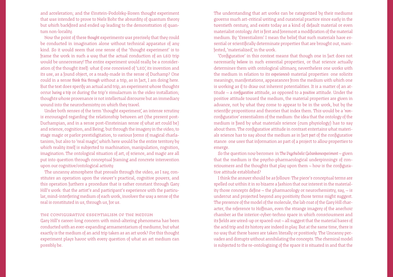and acceleration; and the Einstein-Podolsky-Rosen thought experiment that was intended to prove to Niels Bohr the absurdity of quantum theory but which backfired and ended up leading to the demonstration of quantum non-locality.

Now the point of these *thought* experiments was precisely that they could be conducted in imagination alone without technical apparatus of any kind. So it would seem that one sense of the 'thought experiment' is to frame the work in such a way that the actual conduction of an LSD trip would be unnecessary! The entire experiment would really be a consideration of the thought itself: what if one conceived of 'LSD,' its invention and its use, as a found object, or a ready-made in the sense of Duchamp? One could in a sense *think this through* without a trip, as in fact, I am doing here. But the text does specify an actual acid trip, an experiment whose thoughts occur *during a trip* or during the trip's simulacrum in the video installation; thoughts whose provenance is not intellectual discourse but an immediacy wound into the neurochemistry on which they travel.

Under both senses of the term 'thought experiment', an intense scrutiny is encouraged regarding the relationship between art (the present post-Duchampian, and in a sense post-Einsteinian sense of what art could be) and science, cognition, and Being; but through the imagery in the video, to stage magic or parlor prestidigitation, to various forms of magical charlatanism, but also to 'real magic,' which here would be the entire territory by which reality itself is subjected to machination, manipulation, cognition, imagination. The ontological situation of art, of science, and magic are all put into question through conceptual framing and concrete intervention upon our cognitive/ontological activity.

The uncanny atmosphere that prevails through the video, as I say, constitutes an operation upon the viewer's practical, cognitive powers, and this operation furthers a procedure that is rather constant through Gary Hill's work: that the artist's and participant's experience with the particular, mind-interfering medium of each work, involves the way a sense of the real is constituted in us, through us, for us.

the configurative essentialism of the medium

Gary Hill's career-long concern with mind-altering phenomena has been conducted with an ever-expanding armamentarium of mediums, but what exactly is the medium of an acid trip taken as an art work? For this thought experiment plays havoc with every question of what an art medium can possibly be.

The understanding that art works can be categorized by their mediums governs much art-critical writing and curatorial practice since early in the twentieth century, and exists today as a kind of default material or even materialist ontology. Art is first and foremost a modification of the material medium. By 'Essentialism' I mean the belief that such materials have essential or scientifically determinate properties that are brought out, manifested, 'materialized,' in the work.

'Configurative' in this context means that though one in fact does not necessarily *believe* in such essential properties, or that science actually determines them with ontological ultimacy, nevertheless one works with the medium in relation to its *experienced* material properties: one solicits meanings, manifestations, appearances from the medium with which one is working as if to draw out inherent potentialities. It is a matter of an attitude — a *configurative* attitude, as opposed to a *positive* attitude. Under the positive attitude toward the medium, the material properties are given in advance, not by what they come to appear to be in the work, but by the scientific propositions and theories that index them. This would be a '*non*configurative' essentialism of the medium: the idea that the ontology of the medium is fixed by what materials science (cum physiology) has to say about them. The configurative attitude in contrast entertains what materials science has to say about the medium as in fact *part* of the configurative stance: one uses that information as part of a project to allow properties to emerge.

So the question now becomes: in *The Psychedelic Gedankenexperiment* — given that the medium is the psycho-pharmacological underpinnings of consciousness and the thoughts that play upon them — how is the configurative attitude established?

I think the answer should be as follows: The piece's conceptual terms are spelled out within it in so bizarre a fashion that our interest in the materiality those concepts define — the pharmacology or neurochemistry, say, — is undercut and projected beyond any positivity those terms might suggest. The presence of the model of the molecule, the lab coat of the Gary Hill character, the reference to Hoffman, even the strange imagery of the anechoic chamber as the interior-cyber-techno space in which consciousness and its fields are wired-up or spaced-out — all suggest that the material bases of the acid trip and its history are indeed in play. But at the same time, there is no way that these bases are taken literally or positively. The Uncanny pervades and disrupts without annihilating the concepts. The chemical model is subjected to the re-ontologizing of the space it is situated in and that the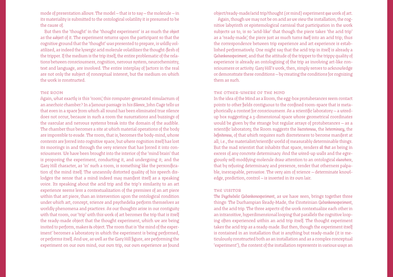mode of presentation allows. The model — that is to say — the molecule — in its materiality is submitted to the ontological volatility it is presumed to be the cause of.

But then the 'thought' in the 'thought experiment' is as much the *object* as the *subject* of it. The experiment returns upon the participant so that the cognitive ground that the 'thought' was presented to prepare, is wildly volatilized, as indeed the lysergic acid molecule volatilizes the thought-flesh of the tripper. If the medium is the trip itself, the entire problematic of the relations between consciousness, cognition, nervous system, neurochemistry, text and language, are involved. The entire interplay of factors in the real are not only the subject of conceptual interest, but the medium on which the work is constructed.

### the room

Again, what exactly is this 'room,' this computer-generated simulacrum of an anechoic chamber? In a famous passage in his *Silence*, John Cage tells us that even in a space from which all sound has been eliminated true silence does not occur, because in such a room the susurrations and buzzings of the vascular and nervous systems break into the domain of the audible. The chamber thus becomes a site at which material operations of the body are impossible to evade. The room, that is, becomes the body-mind, whose contents are forced into cognitive space, but where cognition itself has lost its moorings in and through the very science that has forced it into consciousness. We have been brought into the interior of the 'mind brain' that is proposing the experiment, conducting it, and undergoing it; and the Gary Hill character, as 'in' such a room, is something like the personification of the mind itself. The uncannily distorted quality of his speech dislodges the sense that a mind indeed may manifest itself as a speaking voice. Its speaking about the acid trip and the trip's similarity to an art experience seems less a contextualization of the premises of an art piece within that art piece, than an intervention upon the ontological condition under which art, concept, science and psychedelia perform themselves as worldly phenomena and practices. As our thoughts arise in our contiguity with that room, our 'trip' with this work of art becomes the trip that is itself the ready-made object that the thought experiment, which we are being invited to perform, makes *its* object. The room that is 'the mind of the experiment' becomes a laboratory in which the experiment is being performed, or performs itself. And we, as well as the Gary Hill figure, are performing the experiment on our own mind, our own trip, our own experience as found object/ready-made/acid trip/thought (or mind) experiment *qua* work of art.

Again, though we may not be on acid as we view the installation, the cognitive labyrinth or epistemological carnival that participation in the work subjects us to, is so 'acid-like' that though the piece takes 'the acid trip' as a 'ready-made,' the piece just as much turns *itself* into an acid trip; thus the correspondence between trip experience and art experience is established performatively. One might say that the acid trip in itself is already a *Gedankenexperiment*; and that the attitude of the tripper to the trippy quality of experience is already an ontologizing of the trip as involving art-like consciousness or activity. Gary Hill's work, then, simply serves to acknowledge or demonstrate these conditions — by creating the conditions for cognizing them as such.

# the other-where of the mind

In the idea of the Mind as a Room, the egg-box protuberances seem contact points to other fields contiguous to the confined room-space that is metaphorically a context for consciousness. As a scientific laboratory — a wiredup box suggesting a 3-dimensional space whose geometrical coordinates would be given by the strange but regular arrays of protuberances — as a scientific laboratory, the Room suggests the *discreteness*, the *determinacy*, the *definiteness*, of that which requires such discreteness to become manifest at all; i.e., the materialist/scientific world of measurably determinable things. But the mad scientist that inhabits that space, renders *all that* as being in excess of any concrete determinacy. And the wired-up walls and the egregiously self-modifying molecule draw attention to an ontological *elsewhere*, that by refusing determinacy and presence, render that otherness palpable, inescapable, pervasive. The very aim of science — determinate knowledge, prediction, control — is inverted in its own lair.

### the visitor

*The Psychedelic Gedankenexperiment*, as we have seen, brings together three things: The Duchampian Ready-Made, the Einsteinian *Gedankenexperiment*, and the acid trip. The three aspects of the work contextualize each other in an intransitive, hyperdimensional looping that parallels the cognitive looping often experienced within an acid trip itself. The thought experiment takes the acid trip as a ready-made. But then, though the experiment itself is contained in an installation that is anything but ready-made (it is meticulously constructed both as an installation and as a complex conceptual 'experiment'), the content of the installation represents in various ways an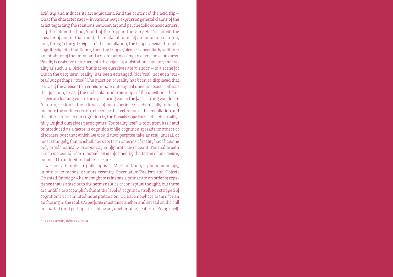acid trip and induces its art equivalent. And the content of the acid trip what the character says — in various ways expresses general claims of the artist regarding the relations between art and psychedelic consciousness.

If the lab is the body/mind of the tripper, the Gary Hill 'scientist' the speaker of and in that mind, the installation itself an induction of a trip, and, through the 3-D aspect of the installation, the tripper/viewer brought cognitively into that Room, then the tripper/viewer is peculiarly split into an inhabitor of that mind and a visitor witnessing an alien consciousness. Reality is revisited or turned into the object of a 'visitation'; not only that reality as such is a 'vision,' but that we ourselves are 'visitors' — to a scene for which the very term 'reality' has been estranged. Not 'real', not even 'surreal,' but perhaps 'irreal.' The question of reality has been so displaced that it is as if the answer to a consummate ontological question exists without the question; or as if the molecular underpinnings of the questions themselves are looking you in the eye, staring you in the face, staring you down. In a trip, we know the oddness of our experience is chemically induced, but here the oddness is introduced by the technique of the installation and the intervention in our cognition by the *Gedankenexperiment* with which willynilly we find ourselves participants. For reality itself is torn from itself and reintroduced as a factor in cognition while cognition spreads its orders or disorders over that which we would now perforce take as real, unreal, or most strangely, that to which the very term or terms of reality have become only problematically, or as we say, configuratively relevant. The reality with which we would inform ourselves is informed by the terms of our desire, our need to understand where we are.

Various attempts in philosophy — Merleau-Ponty's phenomenology, in one of its moods, or more recently, Speculative Realism and Object-Oriented Ontology — have sought to reinstate a primacy to an order of experience that is anterior to the hermeneutics of conceptual thought, but these are unable to accomplish this at the level of cognition itself. For stripped of cognition's verisimilitudinous pretension, we have nowhere to turn for an anchoring in the real. We perforce must raise anchor and set sail on the still uncharted (and perhaps, except by art, unchartable) waters of Being itself.

Charles Stein, January 2018